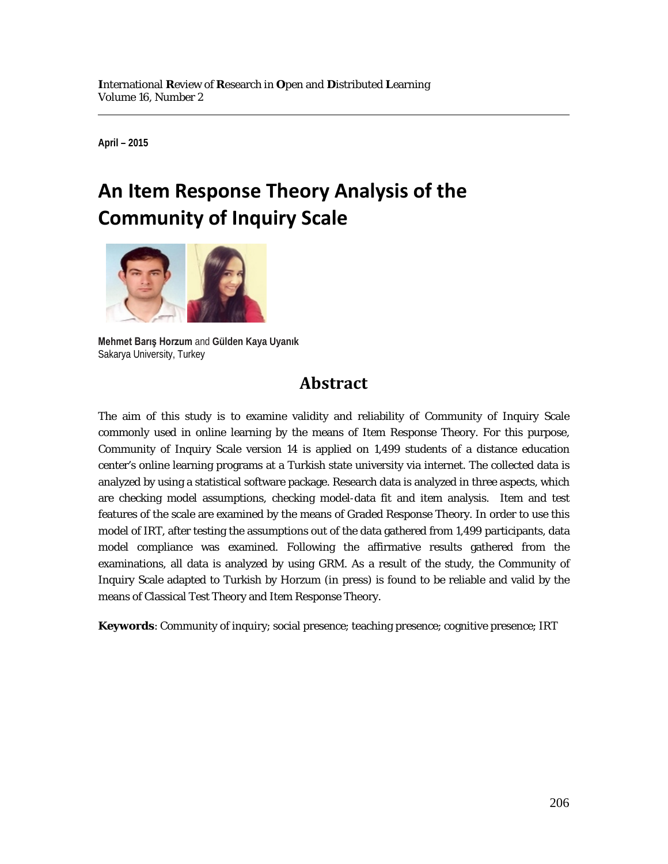**April – 2015**

# **An Item Response Theory Analysis of the Community of Inquiry Scale**



**Mehmet Barış Horzum** and **Gülden Kaya Uyanık** Sakarya University, Turkey

## **Abstract**

The aim of this study is to examine validity and reliability of Community of Inquiry Scale commonly used in online learning by the means of Item Response Theory. For this purpose, Community of Inquiry Scale version 14 is applied on 1,499 students of a distance education center's online learning programs at a Turkish state university via internet. The collected data is analyzed by using a statistical software package. Research data is analyzed in three aspects, which are checking model assumptions, checking model-data fit and item analysis. Item and test features of the scale are examined by the means of Graded Response Theory. In order to use this model of IRT, after testing the assumptions out of the data gathered from 1,499 participants, data model compliance was examined. Following the affirmative results gathered from the examinations, all data is analyzed by using GRM. As a result of the study, the Community of Inquiry Scale adapted to Turkish by Horzum (in press) is found to be reliable and valid by the means of Classical Test Theory and Item Response Theory.

**Keywords**: Community of inquiry; social presence; teaching presence; cognitive presence; IRT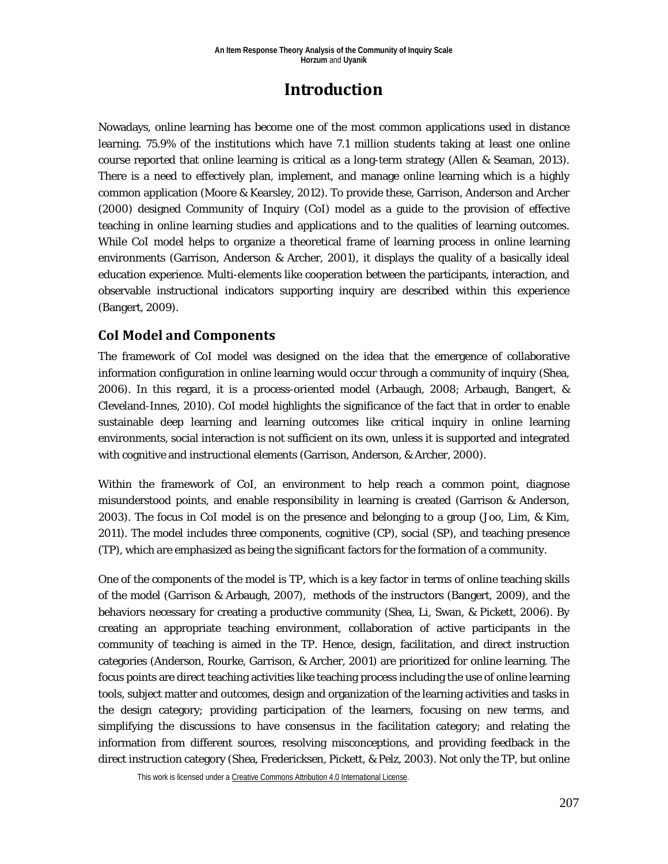## **Introduction**

Nowadays, online learning has become one of the most common applications used in distance learning. 75.9% of the institutions which have 7.1 million students taking at least one online course reported that online learning is critical as a long-term strategy (Allen & Seaman, 2013). There is a need to effectively plan, implement, and manage online learning which is a highly common application (Moore & Kearsley, 2012). To provide these, Garrison, Anderson and Archer (2000) designed Community of Inquiry (CoI) model as a guide to the provision of effective teaching in online learning studies and applications and to the qualities of learning outcomes. While CoI model helps to organize a theoretical frame of learning process in online learning environments (Garrison, Anderson & Archer, 2001), it displays the quality of a basically ideal education experience. Multi-elements like cooperation between the participants, interaction, and observable instructional indicators supporting inquiry are described within this experience (Bangert, 2009).

## **CoI Model and Components**

The framework of CoI model was designed on the idea that the emergence of collaborative information configuration in online learning would occur through a community of inquiry (Shea, 2006). In this regard, it is a process-oriented model (Arbaugh, 2008; Arbaugh, Bangert, & Cleveland-Innes, 2010). CoI model highlights the significance of the fact that in order to enable sustainable deep learning and learning outcomes like critical inquiry in online learning environments, social interaction is not sufficient on its own, unless it is supported and integrated with cognitive and instructional elements (Garrison, Anderson, & Archer, 2000).

Within the framework of CoI, an environment to help reach a common point, diagnose misunderstood points, and enable responsibility in learning is created (Garrison & Anderson, 2003). The focus in CoI model is on the presence and belonging to a group (Joo, Lim, & Kim, 2011). The model includes three components, cognitive (CP), social (SP), and teaching presence (TP), which are emphasized as being the significant factors for the formation of a community.

One of the components of the model is TP, which is a key factor in terms of online teaching skills of the model (Garrison & Arbaugh, 2007), methods of the instructors (Bangert, 2009), and the behaviors necessary for creating a productive community (Shea, Li, Swan, & Pickett, 2006). By creating an appropriate teaching environment, collaboration of active participants in the community of teaching is aimed in the TP. Hence, design, facilitation, and direct instruction categories (Anderson, Rourke, Garrison, & Archer, 2001) are prioritized for online learning. The focus points are direct teaching activities like teaching process including the use of online learning tools, subject matter and outcomes, design and organization of the learning activities and tasks in the design category; providing participation of the learners, focusing on new terms, and simplifying the discussions to have consensus in the facilitation category; and relating the information from different sources, resolving misconceptions, and providing feedback in the direct instruction category (Shea, Fredericksen, Pickett, & Pelz, 2003). Not only the TP, but online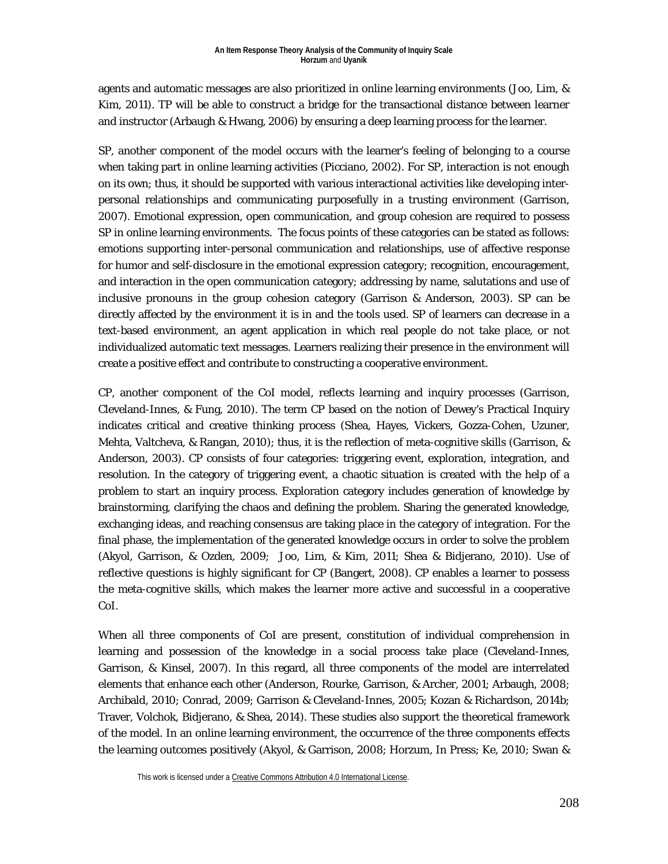agents and automatic messages are also prioritized in online learning environments (Joo, Lim, & Kim, 2011). TP will be able to construct a bridge for the transactional distance between learner and instructor (Arbaugh & Hwang, 2006) by ensuring a deep learning process for the learner.

SP, another component of the model occurs with the learner's feeling of belonging to a course when taking part in online learning activities (Picciano, 2002). For SP, interaction is not enough on its own; thus, it should be supported with various interactional activities like developing interpersonal relationships and communicating purposefully in a trusting environment (Garrison, 2007). Emotional expression, open communication, and group cohesion are required to possess SP in online learning environments. The focus points of these categories can be stated as follows: emotions supporting inter-personal communication and relationships, use of affective response for humor and self-disclosure in the emotional expression category; recognition, encouragement, and interaction in the open communication category; addressing by name, salutations and use of inclusive pronouns in the group cohesion category (Garrison & Anderson, 2003). SP can be directly affected by the environment it is in and the tools used. SP of learners can decrease in a text-based environment, an agent application in which real people do not take place, or not individualized automatic text messages. Learners realizing their presence in the environment will create a positive effect and contribute to constructing a cooperative environment.

CP, another component of the CoI model, reflects learning and inquiry processes (Garrison, Cleveland-Innes, & Fung, 2010). The term CP based on the notion of Dewey's Practical Inquiry indicates critical and creative thinking process (Shea, Hayes, Vickers, Gozza-Cohen, Uzuner, Mehta, Valtcheva, & Rangan, 2010); thus, it is the reflection of meta-cognitive skills (Garrison, & Anderson, 2003). CP consists of four categories: triggering event, exploration, integration, and resolution. In the category of triggering event, a chaotic situation is created with the help of a problem to start an inquiry process. Exploration category includes generation of knowledge by brainstorming, clarifying the chaos and defining the problem. Sharing the generated knowledge, exchanging ideas, and reaching consensus are taking place in the category of integration. For the final phase, the implementation of the generated knowledge occurs in order to solve the problem (Akyol, Garrison, & Ozden, 2009; Joo, Lim, & Kim, 2011; Shea & Bidjerano, 2010). Use of reflective questions is highly significant for CP (Bangert, 2008). CP enables a learner to possess the meta-cognitive skills, which makes the learner more active and successful in a cooperative CoI.

When all three components of CoI are present, constitution of individual comprehension in learning and possession of the knowledge in a social process take place (Cleveland-Innes, Garrison, & Kinsel, 2007). In this regard, all three components of the model are interrelated elements that enhance each other (Anderson, Rourke, Garrison, & Archer, 2001; Arbaugh, 2008; Archibald, 2010; Conrad, 2009; Garrison & Cleveland-Innes, 2005; Kozan & Richardson, 2014b; Traver, Volchok, Bidjerano, & Shea, 2014). These studies also support the theoretical framework of the model. In an online learning environment, the occurrence of the three components effects the learning outcomes positively (Akyol, & Garrison, 2008; Horzum, In Press; Ke, 2010; Swan &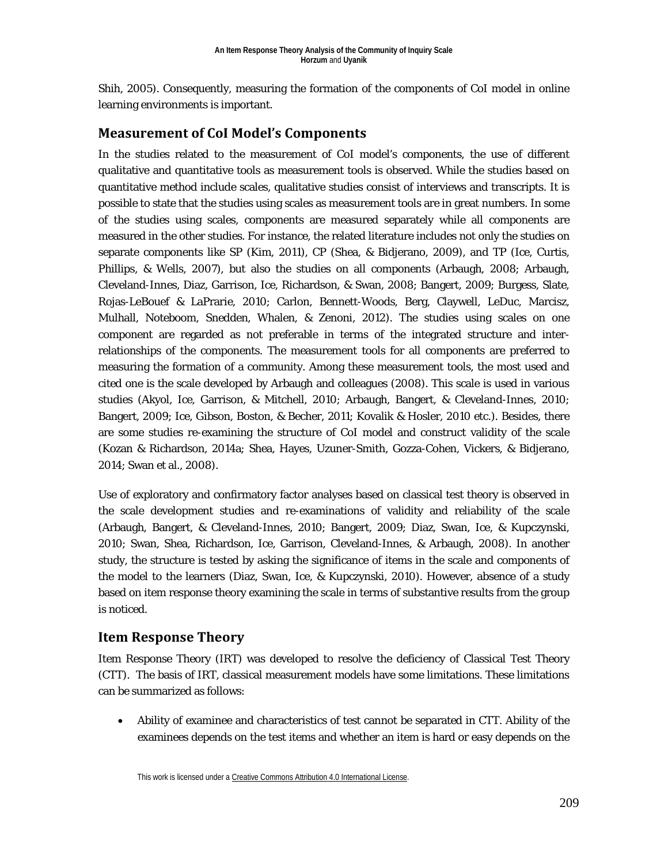Shih, 2005). Consequently, measuring the formation of the components of CoI model in online learning environments is important.

### **Measurement of CoI Model's Components**

In the studies related to the measurement of CoI model's components, the use of different qualitative and quantitative tools as measurement tools is observed. While the studies based on quantitative method include scales, qualitative studies consist of interviews and transcripts. It is possible to state that the studies using scales as measurement tools are in great numbers. In some of the studies using scales, components are measured separately while all components are measured in the other studies. For instance, the related literature includes not only the studies on separate components like SP (Kim, 2011), CP (Shea, & Bidjerano, 2009), and TP (Ice, Curtis, Phillips, & Wells, 2007), but also the studies on all components (Arbaugh, 2008; Arbaugh, Cleveland-Innes, Diaz, Garrison, Ice, Richardson, & Swan, 2008; Bangert, 2009; Burgess, Slate, Rojas-LeBouef & LaPrarie, 2010; Carlon, Bennett-Woods, Berg, Claywell, LeDuc, Marcisz, Mulhall, Noteboom, Snedden, Whalen, & Zenoni, 2012). The studies using scales on one component are regarded as not preferable in terms of the integrated structure and interrelationships of the components. The measurement tools for all components are preferred to measuring the formation of a community. Among these measurement tools, the most used and cited one is the scale developed by Arbaugh and colleagues (2008). This scale is used in various studies (Akyol, Ice, Garrison, & Mitchell, 2010; Arbaugh, Bangert, & Cleveland-Innes, 2010; Bangert, 2009; Ice, Gibson, Boston, & Becher, 2011; Kovalik & Hosler, 2010 etc.). Besides, there are some studies re-examining the structure of CoI model and construct validity of the scale (Kozan & Richardson, 2014a; Shea, Hayes, Uzuner-Smith, Gozza-Cohen, Vickers, & Bidjerano, 2014; Swan et al., 2008).

Use of exploratory and confirmatory factor analyses based on classical test theory is observed in the scale development studies and re-examinations of validity and reliability of the scale (Arbaugh, Bangert, & Cleveland-Innes, 2010; Bangert, 2009; Diaz, Swan, Ice, & Kupczynski, 2010; Swan, Shea, Richardson, Ice, Garrison, Cleveland-Innes, & Arbaugh, 2008). In another study, the structure is tested by asking the significance of items in the scale and components of the model to the learners (Diaz, Swan, Ice, & Kupczynski, 2010). However, absence of a study based on item response theory examining the scale in terms of substantive results from the group is noticed.

### **Item Response Theory**

Item Response Theory (IRT) was developed to resolve the deficiency of Classical Test Theory (CTT). The basis of IRT, classical measurement models have some limitations. These limitations can be summarized as follows:

• Ability of examinee and characteristics of test cannot be separated in CTT. Ability of the examinees depends on the test items and whether an item is hard or easy depends on the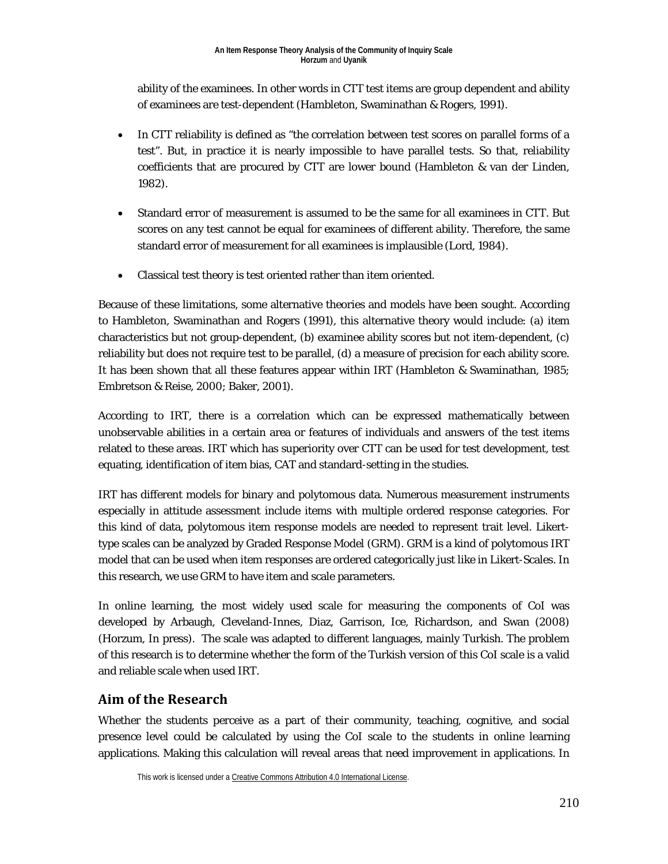ability of the examinees. In other words in CTT test items are group dependent and ability of examinees are test-dependent (Hambleton, Swaminathan & Rogers, 1991).

- In CTT reliability is defined as "the correlation between test scores on parallel forms of a test". But, in practice it is nearly impossible to have parallel tests. So that, reliability coefficients that are procured by CTT are lower bound (Hambleton & van der Linden, 1982).
- Standard error of measurement is assumed to be the same for all examinees in CTT. But scores on any test cannot be equal for examinees of different ability. Therefore, the same standard error of measurement for all examinees is implausible (Lord, 1984).
- Classical test theory is test oriented rather than item oriented.

Because of these limitations, some alternative theories and models have been sought. According to Hambleton, Swaminathan and Rogers (1991), this alternative theory would include: (a) item characteristics but not group-dependent, (b) examinee ability scores but not item-dependent, (c) reliability but does not require test to be parallel, (d) a measure of precision for each ability score. It has been shown that all these features appear within IRT (Hambleton & Swaminathan, 1985; Embretson & Reise, 2000; Baker, 2001).

According to IRT, there is a correlation which can be expressed mathematically between unobservable abilities in a certain area or features of individuals and answers of the test items related to these areas. IRT which has superiority over CTT can be used for test development, test equating, identification of item bias, CAT and standard-setting in the studies.

IRT has different models for binary and polytomous data. Numerous measurement instruments especially in attitude assessment include items with multiple ordered response categories. For this kind of data, polytomous item response models are needed to represent trait level. Likerttype scales can be analyzed by Graded Response Model (GRM). GRM is a kind of polytomous IRT model that can be used when item responses are ordered categorically just like in Likert-Scales. In this research, we use GRM to have item and scale parameters.

In online learning, the most widely used scale for measuring the components of CoI was developed by Arbaugh, Cleveland-Innes, Diaz, Garrison, Ice, Richardson, and Swan (2008) (Horzum, In press). The scale was adapted to different languages, mainly Turkish. The problem of this research is to determine whether the form of the Turkish version of this CoI scale is a valid and reliable scale when used IRT.

## **Aim of the Research**

Whether the students perceive as a part of their community, teaching, cognitive, and social presence level could be calculated by using the CoI scale to the students in online learning applications. Making this calculation will reveal areas that need improvement in applications. In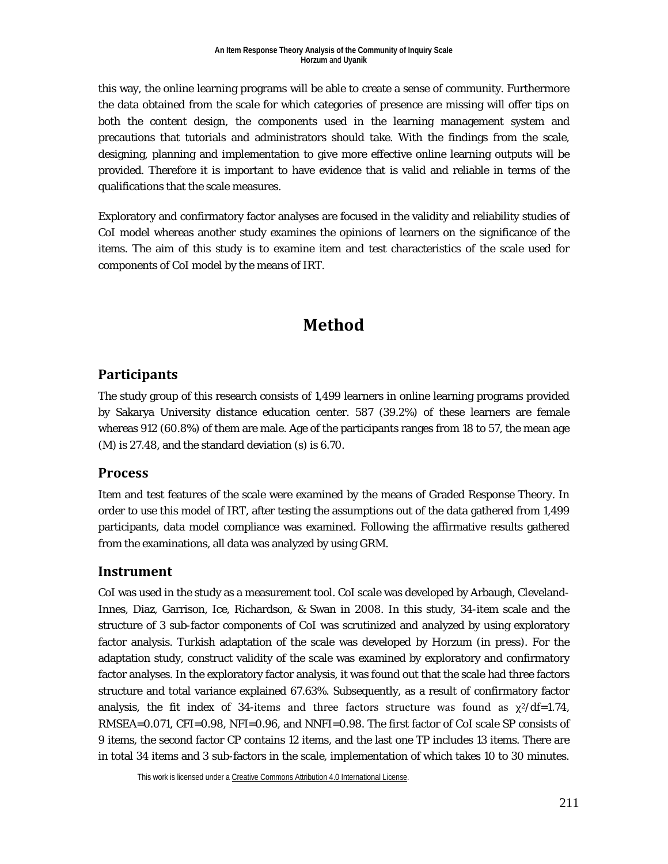this way, the online learning programs will be able to create a sense of community. Furthermore the data obtained from the scale for which categories of presence are missing will offer tips on both the content design, the components used in the learning management system and precautions that tutorials and administrators should take. With the findings from the scale, designing, planning and implementation to give more effective online learning outputs will be provided. Therefore it is important to have evidence that is valid and reliable in terms of the qualifications that the scale measures.

Exploratory and confirmatory factor analyses are focused in the validity and reliability studies of CoI model whereas another study examines the opinions of learners on the significance of the items. The aim of this study is to examine item and test characteristics of the scale used for components of CoI model by the means of IRT.

## **Method**

### **Participants**

The study group of this research consists of 1,499 learners in online learning programs provided by Sakarya University distance education center. 587 (39.2%) of these learners are female whereas 912 (60.8%) of them are male. Age of the participants ranges from 18 to 57, the mean age (M) is 27.48, and the standard deviation (s) is 6.70.

### **Process**

Item and test features of the scale were examined by the means of Graded Response Theory. In order to use this model of IRT, after testing the assumptions out of the data gathered from 1,499 participants, data model compliance was examined. Following the affirmative results gathered from the examinations, all data was analyzed by using GRM.

## **Instrument**

CoI was used in the study as a measurement tool. CoI scale was developed by Arbaugh, Cleveland-Innes, Diaz, Garrison, Ice, Richardson, & Swan in 2008. In this study, 34-item scale and the structure of 3 sub-factor components of CoI was scrutinized and analyzed by using exploratory factor analysis. Turkish adaptation of the scale was developed by Horzum (in press). For the adaptation study, construct validity of the scale was examined by exploratory and confirmatory factor analyses. In the exploratory factor analysis, it was found out that the scale had three factors structure and total variance explained 67.63%. Subsequently, as a result of confirmatory factor analysis, the fit index of 34-items and three factors structure was found as  $\chi^2$ /df=1.74, RMSEA=0.071, CFI=0.98, NFI=0.96, and NNFI=0.98. The first factor of CoI scale SP consists of 9 items, the second factor CP contains 12 items, and the last one TP includes 13 items. There are in total 34 items and 3 sub-factors in the scale, implementation of which takes 10 to 30 minutes.

This work is licensed under [a Creative Commons Attribution 4.0 International License.](http://creativecommons.org/licenses/by/4.0/)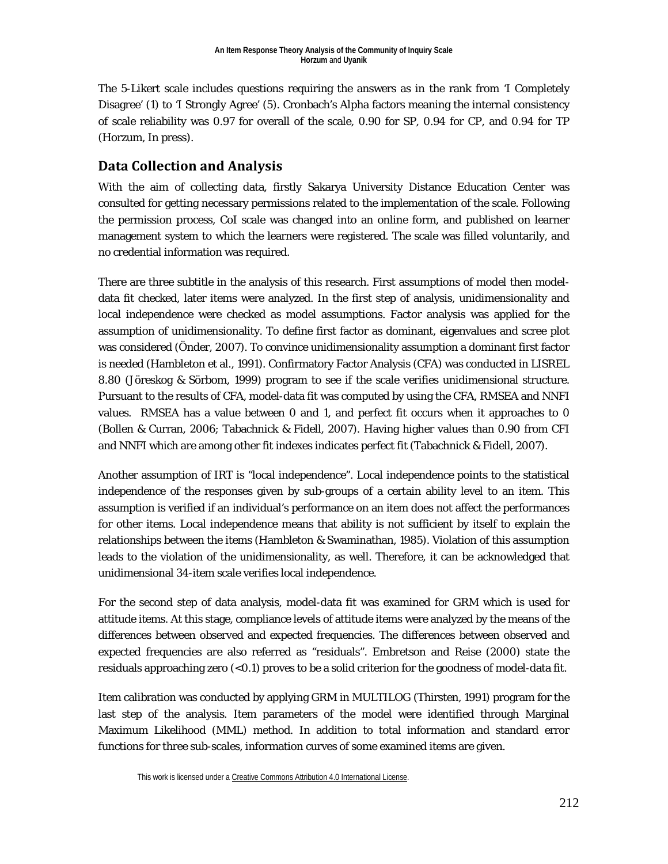The 5-Likert scale includes questions requiring the answers as in the rank from 'I Completely Disagree' (1) to 'I Strongly Agree' (5). Cronbach's Alpha factors meaning the internal consistency of scale reliability was 0.97 for overall of the scale, 0.90 for SP, 0.94 for CP, and 0.94 for TP (Horzum, In press).

## **Data Collection and Analysis**

With the aim of collecting data, firstly Sakarya University Distance Education Center was consulted for getting necessary permissions related to the implementation of the scale. Following the permission process, CoI scale was changed into an online form, and published on learner management system to which the learners were registered. The scale was filled voluntarily, and no credential information was required.

There are three subtitle in the analysis of this research. First assumptions of model then modeldata fit checked, later items were analyzed. In the first step of analysis, unidimensionality and local independence were checked as model assumptions. Factor analysis was applied for the assumption of unidimensionality. To define first factor as dominant, eigenvalues and scree plot was considered (Önder, 2007). To convince unidimensionality assumption a dominant first factor is needed (Hambleton et al., 1991). Confirmatory Factor Analysis (CFA) was conducted in LISREL 8.80 (Jöreskog & Sörbom, 1999) program to see if the scale verifies unidimensional structure. Pursuant to the results of CFA, model-data fit was computed by using the CFA, RMSEA and NNFI values. RMSEA has a value between 0 and 1, and perfect fit occurs when it approaches to 0 (Bollen & Curran, 2006; Tabachnick & Fidell, 2007). Having higher values than 0.90 from CFI and NNFI which are among other fit indexes indicates perfect fit (Tabachnick & Fidell, 2007).

Another assumption of IRT is "local independence". Local independence points to the statistical independence of the responses given by sub-groups of a certain ability level to an item. This assumption is verified if an individual's performance on an item does not affect the performances for other items. Local independence means that ability is not sufficient by itself to explain the relationships between the items (Hambleton & Swaminathan, 1985). Violation of this assumption leads to the violation of the unidimensionality, as well. Therefore, it can be acknowledged that unidimensional 34-item scale verifies local independence.

For the second step of data analysis, model-data fit was examined for GRM which is used for attitude items. At this stage, compliance levels of attitude items were analyzed by the means of the differences between observed and expected frequencies. The differences between observed and expected frequencies are also referred as "residuals". Embretson and Reise (2000) state the residuals approaching zero  $(<0.1$ ) proves to be a solid criterion for the goodness of model-data fit.

Item calibration was conducted by applying GRM in MULTILOG (Thirsten, 1991) program for the last step of the analysis. Item parameters of the model were identified through Marginal Maximum Likelihood (MML) method. In addition to total information and standard error functions for three sub-scales, information curves of some examined items are given.

This work is licensed under [a Creative Commons Attribution 4.0 International License.](http://creativecommons.org/licenses/by/4.0/)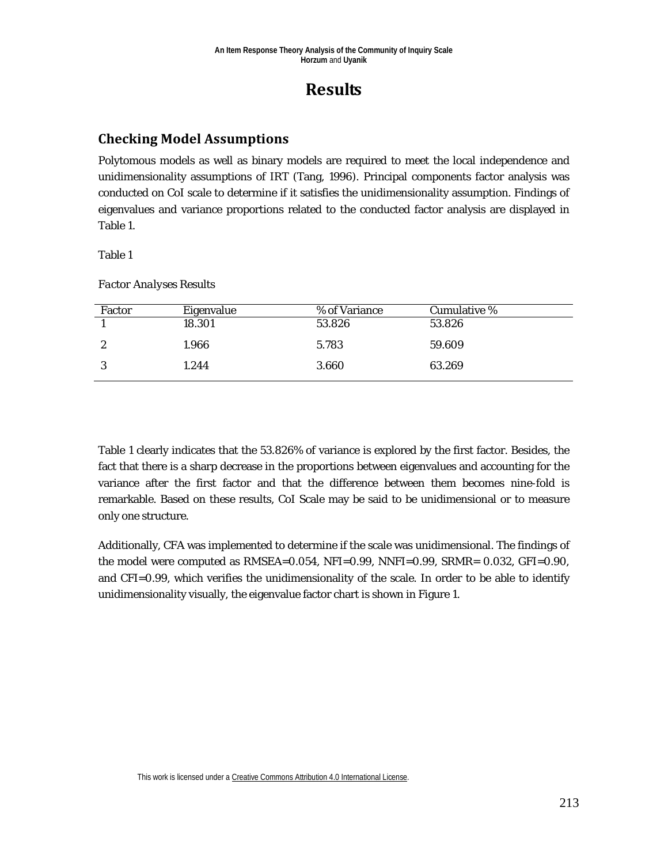## **Results**

## **Checking Model Assumptions**

Polytomous models as well as binary models are required to meet the local independence and unidimensionality assumptions of IRT (Tang, 1996). Principal components factor analysis was conducted on CoI scale to determine if it satisfies the unidimensionality assumption. Findings of eigenvalues and variance proportions related to the conducted factor analysis are displayed in Table 1.

Table 1

*Factor Analyses Results*

| Factor | Eigenvalue | % of Variance | Cumulative % |
|--------|------------|---------------|--------------|
|        | 18.301     | 53.826        | 53.826       |
| ∼      | 1.966      | 5.783         | 59.609       |
|        | 1.244      | 3.660         | 63.269       |

Table 1 clearly indicates that the 53.826% of variance is explored by the first factor. Besides, the fact that there is a sharp decrease in the proportions between eigenvalues and accounting for the variance after the first factor and that the difference between them becomes nine-fold is remarkable. Based on these results, CoI Scale may be said to be unidimensional or to measure only one structure.

Additionally, CFA was implemented to determine if the scale was unidimensional. The findings of the model were computed as  $RMSEA = 0.054$ ,  $NFI = 0.99$ ,  $NNFI = 0.99$ ,  $SRMR = 0.032$ ,  $GFI = 0.90$ , and CFI=0.99, which verifies the unidimensionality of the scale. In order to be able to identify unidimensionality visually, the eigenvalue factor chart is shown in Figure 1.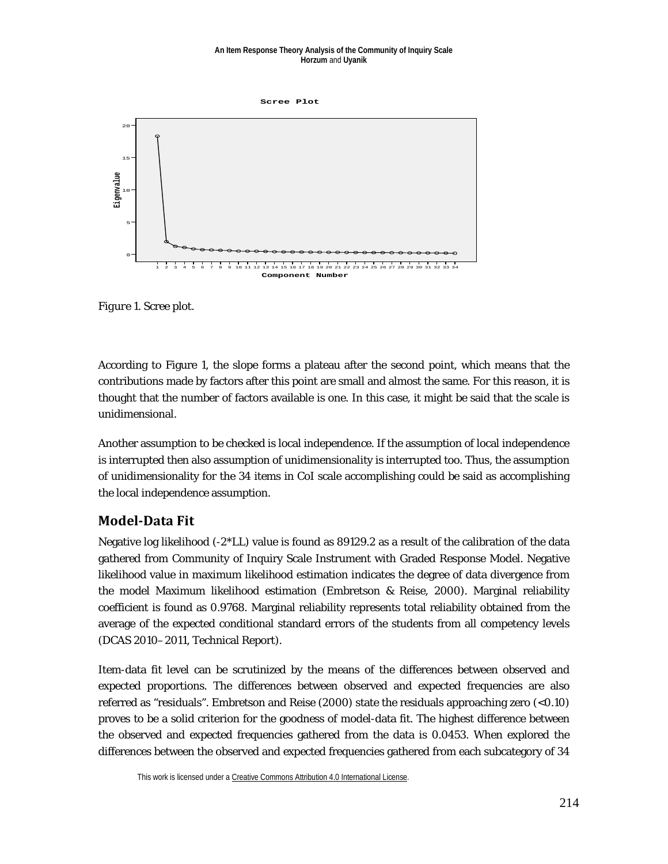#### **An Item Response Theory Analysis of the Community of Inquiry Scale Horzum** and **Uyanik**



*Figure 1*. Scree plot.

According to Figure 1, the slope forms a plateau after the second point, which means that the contributions made by factors after this point are small and almost the same. For this reason, it is thought that the number of factors available is one. In this case, it might be said that the scale is unidimensional.

Another assumption to be checked is local independence. If the assumption of local independence is interrupted then also assumption of unidimensionality is interrupted too. Thus, the assumption of unidimensionality for the 34 items in CoI scale accomplishing could be said as accomplishing the local independence assumption.

## **Model-Data Fit**

Negative log likelihood  $(-2^*LL)$  value is found as 89129.2 as a result of the calibration of the data gathered from Community of Inquiry Scale Instrument with Graded Response Model. Negative likelihood value in maximum likelihood estimation indicates the degree of data divergence from the model Maximum likelihood estimation (Embretson & Reise, 2000). Marginal reliability coefficient is found as 0.9768. Marginal reliability represents total reliability obtained from the average of the expected conditional standard errors of the students from all competency levels (DCAS 2010–2011, Technical Report).

Item-data fit level can be scrutinized by the means of the differences between observed and expected proportions. The differences between observed and expected frequencies are also referred as "residuals". Embretson and Reise (2000) state the residuals approaching zero (<0.10) proves to be a solid criterion for the goodness of model-data fit. The highest difference between the observed and expected frequencies gathered from the data is 0.0453. When explored the differences between the observed and expected frequencies gathered from each subcategory of 34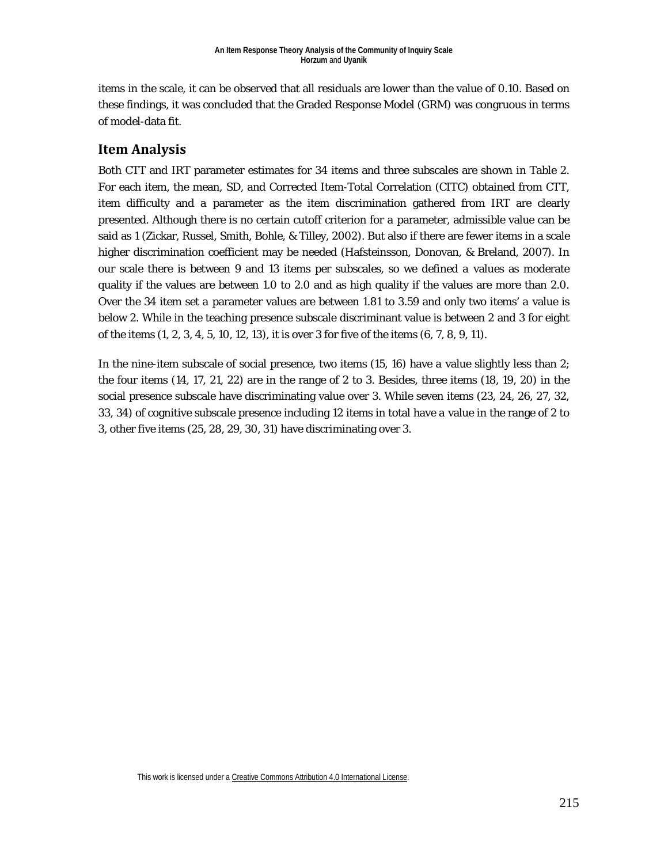items in the scale, it can be observed that all residuals are lower than the value of 0.10. Based on these findings, it was concluded that the Graded Response Model (GRM) was congruous in terms of model-data fit.

## **Item Analysis**

Both CTT and IRT parameter estimates for 34 items and three subscales are shown in Table 2. For each item, the mean, SD, and Corrected Item-Total Correlation (CITC) obtained from CTT, item difficulty and *a* parameter as the item discrimination gathered from IRT are clearly presented. Although there is no certain cutoff criterion for *a* parameter, admissible value can be said as 1 (Zickar, Russel, Smith, Bohle, & Tilley, 2002). But also if there are fewer items in a scale higher discrimination coefficient may be needed (Hafsteinsson, Donovan, & Breland, 2007). In our scale there is between 9 and 13 items per subscales, so we defined *a* values as moderate quality if the values are between 1.0 to 2.0 and as high quality if the values are more than 2.0. Over the 34 item set *a* parameter values are between 1.81 to 3.59 and only two items' *a* value is below 2. While in the teaching presence subscale discriminant value is between 2 and 3 for eight of the items (1, 2, 3, 4, 5, 10, 12, 13), it is over 3 for five of the items (6, 7, 8, 9, 11).

In the nine-item subscale of social presence, two items (15, 16) have *a* value slightly less than 2; the four items (14, 17, 21, 22) are in the range of 2 to 3. Besides, three items (18, 19, 20) in the social presence subscale have discriminating value over 3. While seven items (23, 24, 26, 27, 32, 33, 34) of cognitive subscale presence including 12 items in total have *a* value in the range of 2 to 3, other five items (25, 28, 29, 30, 31) have discriminating over 3.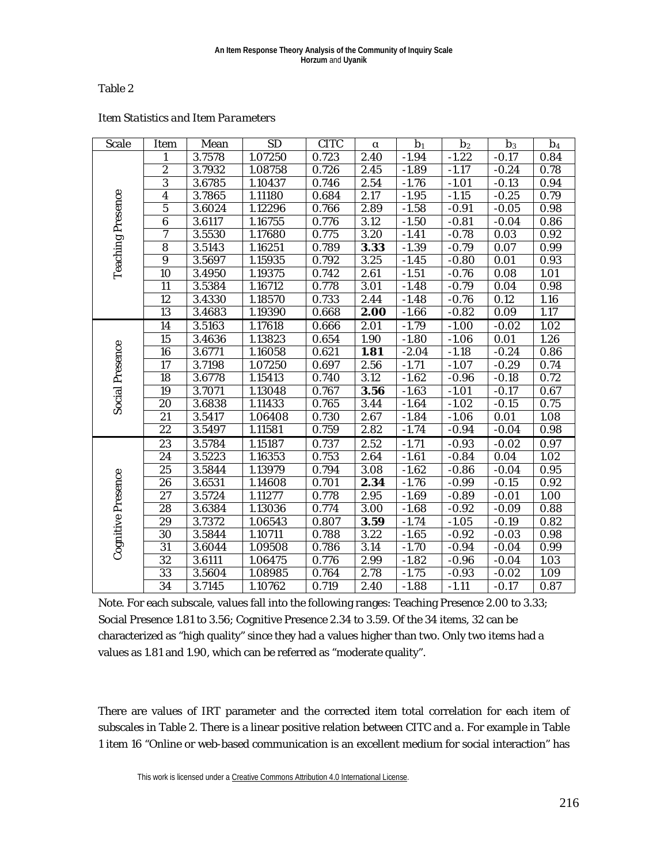#### Table 2

| <b>Scale</b>             | <b>Item</b>     | Mean   | <b>SD</b>            | <b>CITC</b> | $\alpha$          | b <sub>1</sub> | b <sub>2</sub> | b <sub>3</sub> | b <sub>4</sub>    |
|--------------------------|-----------------|--------|----------------------|-------------|-------------------|----------------|----------------|----------------|-------------------|
| <b>Teaching Presence</b> | $\mathbf{1}$    | 3.7578 | 1.07250              | 0.723       | 2.40              | $-1.94$        | $-1.22$        | $-0.17$        | 0.84              |
|                          | $\overline{2}$  | 3.7932 | 1.08758              | 0.726       | 2.45              | $-1.89$        | $-1.17$        | $-0.24$        | 0.78              |
|                          | $\overline{3}$  | 3.6785 | 1.10437              | 0.746       | 2.54              | $-1.76$        | $-1.01$        | $-0.13$        | 0.94              |
|                          | $\overline{4}$  | 3.7865 | 1.11180              | 0.684       | 2.17              | $-1.95$        | $-1.15$        | $-0.25$        | 0.79              |
|                          | 5               | 3.6024 | 1.12296              | 0.766       | 2.89              | $-1.58$        | $-0.91$        | $-0.05$        | 0.98              |
|                          | $\overline{6}$  | 3.6117 | 1.16755              | 0.776       | 3.12              | $-1.50$        | $-0.81$        | $-0.04$        | 0.86              |
|                          | $\overline{7}$  | 3.5530 | 1.17680              | 0.775       | 3.20              | $-1.41$        | $-0.78$        | 0.03           | 0.92              |
|                          | $\overline{8}$  | 3.5143 | 1.16251              | 0.789       | 3.33              | $-1.39$        | $-0.79$        | 0.07           | 0.99              |
|                          | $\overline{9}$  | 3.5697 | 1.15935              | 0.792       | 3.25              | $-1.45$        | $-0.80$        | 0.01           | 0.93              |
|                          | 10              | 3.4950 | 1.19375              | 0.742       | 2.61              | $-1.51$        | $-0.76$        | 0.08           | 1.01              |
|                          | $\overline{11}$ | 3.5384 | 1.16712              | 0.778       | 3.01              | $-1.48$        | $-0.79$        | 0.04           | 0.98              |
|                          | 12              | 3.4330 | 1.18570              | 0.733       | 2.44              | $-1.48$        | $-0.76$        | 0.12           | 1.16              |
|                          | $\overline{13}$ | 3.4683 | 1.19390              | 0.668       | 2.00              | $-1.66$        | $-0.82$        | 0.09           | 1.17              |
|                          | 14              | 3.5163 | 1.17618              | 0.666       | 2.01              | $-1.79$        | $-1.00$        | $-0.02$        | 1.02              |
|                          | $\overline{15}$ | 3.4636 | 1.13823              | 0.654       | 1.90              | $-1.80$        | $-1.06$        | 0.01           | 1.26              |
| <b>Social Presence</b>   | 16              | 3.6771 | 1.16058              | 0.621       | 1.81              | $-2.04$        | $-1.18$        | $-0.24$        | 0.86              |
|                          | 17              | 3.7198 | 1.07250              | 0.697       | 2.56              | $-1.71$        | $-1.07$        | $-0.29$        | 0.74              |
|                          | $\overline{18}$ | 3.6778 | 1.15413              | 0.740       | $\overline{3.12}$ | $-1.62$        | $-0.96$        | $-0.18$        | $\overline{0.72}$ |
|                          | 19              | 3.7071 | 1.13048              | 0.767       | 3.56              | $-1.63$        | $-1.01$        | $-0.17$        | 0.67              |
|                          | 20              | 3.6838 | 1.11433              | 0.765       | 3.44              | $-1.64$        | $-1.02$        | $-0.15$        | 0.75              |
|                          | 21              | 3.5417 | 1.06408              | 0.730       | 2.67              | $-1.84$        | $-1.06$        | 0.01           | 1.08              |
|                          | 22              | 3.5497 | 1.11581              | 0.759       | 2.82              | $-1.74$        | $-0.94$        | $-0.04$        | 0.98              |
| Cognitive Presence       | 23              | 3.5784 | 1.15187              | 0.737       | 2.52              | $-1.71$        | $-0.93$        | $-0.02$        | 0.97              |
|                          | 24              | 3.5223 | 1.16353              | 0.753       | 2.64              | $-1.61$        | $-0.84$        | 0.04           | 1.02              |
|                          | $\overline{25}$ | 3.5844 | 1.13979              | 0.794       | 3.08              | $-1.62$        | $-0.86$        | $-0.04$        | 0.95              |
|                          | 26              | 3.6531 | 1.14608              | 0.701       | 2.34              | $-1.76$        | $-0.99$        | $-0.15$        | 0.92              |
|                          | $\overline{27}$ | 3.5724 | 1.11277              | 0.778       | 2.95              | $-1.69$        | $-0.89$        | $-0.01$        | 1.00              |
|                          | $\overline{28}$ | 3.6384 | 1.13036              | 0.774       | 3.00              | $-1.68$        | $-0.92$        | $-0.09$        | 0.88              |
|                          | 29              | 3.7372 | 1.06543              | 0.807       | 3.59              | $-1.74$        | $-1.05$        | $-0.19$        | 0.82              |
|                          | 30              | 3.5844 | $\overline{1.10711}$ | 0.788       | 3.22              | $-1.65$        | $-0.92$        | $-0.03$        | 0.98              |
|                          | 31              | 3.6044 | 1.09508              | 0.786       | 3.14              | $-1.70$        | $-0.94$        | $-0.04$        | 0.99              |
|                          | 32              | 3.6111 | 1.06475              | 0.776       | 2.99              | $-1.82$        | $-0.96$        | $-0.04$        | 1.03              |
|                          | 33              | 3.5604 | 1.08985              | 0.764       | 2.78              | $-1.75$        | $-0.93$        | $-0.02$        | 1.09              |
|                          | 34              | 3.7145 | 1.10762              | 0.719       | 2.40              | $-1.88$        | $-1.11$        | $-0.17$        | 0.87              |

#### *Item Statistics and Item Parameters*

*Note*. For each subscale, values fall into the following ranges: Teaching Presence 2.00 to 3.33; Social Presence 1.81 to 3.56; Cognitive Presence 2.34 to 3.59. Of the 34 items, 32 can be characterized as "high quality" since they had *a* values higher than two. Only two items had *a* values as 1.81 and 1.90, which can be referred as "moderate quality".

There are values of IRT parameter and the corrected item total correlation for each item of subscales in Table 2. There is a linear positive relation between CITC and *a*. For example in Table 1 item 16 "Online or web-based communication is an excellent medium for social interaction" has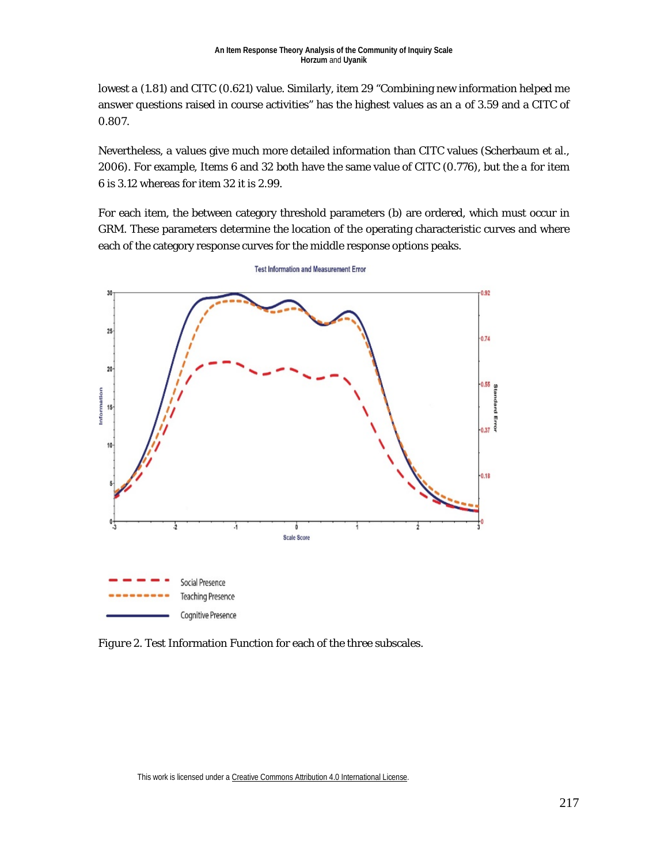lowest *a* (1.81) and CITC (0.621) value. Similarly, item 29 "Combining new information helped me answer questions raised in course activities" has the highest values as an *a* of 3.59 and a CITC of 0.807.

Nevertheless, *a* values give much more detailed information than CITC values (Scherbaum et al., 2006). For example, Items 6 and 32 both have the same value of CITC (0.776), but the *a* for item 6 is 3.12 whereas for item 32 it is 2.99.

For each item, the between category threshold parameters (b) are ordered, which must occur in GRM. These parameters determine the location of the operating characteristic curves and where each of the category response curves for the middle response options peaks.



**Test Information and Measurement Error** 

*Figure 2*. Test Information Function for each of the three subscales.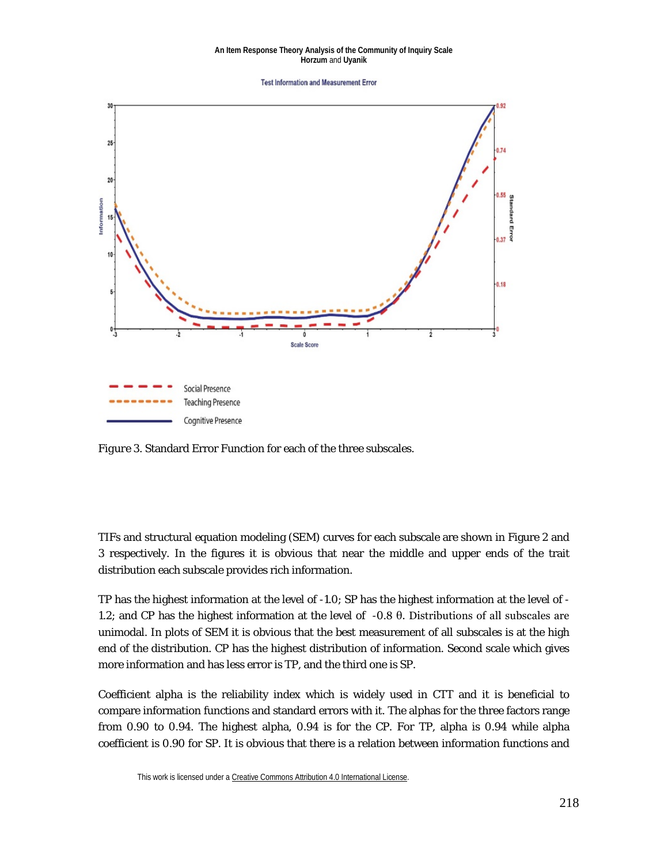#### **An Item Response Theory Analysis of the Community of Inquiry Scale Horzum** and **Uyanik**

**Test Information and Measurement Error** 



*Figure 3*. Standard Error Function for each of the three subscales.

TIFs and structural equation modeling (SEM) curves for each subscale are shown in Figure 2 and 3 respectively. In the figures it is obvious that near the middle and upper ends of the trait distribution each subscale provides rich information.

TP has the highest information at the level of -1.0; SP has the highest information at the level of - 1.2; and CP has the highest information at the level of -0.8 θ. Distributions of all subscales are unimodal. In plots of SEM it is obvious that the best measurement of all subscales is at the high end of the distribution. CP has the highest distribution of information. Second scale which gives more information and has less error is TP, and the third one is SP.

Coefficient alpha is the reliability index which is widely used in CTT and it is beneficial to compare information functions and standard errors with it. The alphas for the three factors range from 0.90 to 0.94. The highest alpha, 0.94 is for the CP. For TP, alpha is 0.94 while alpha coefficient is 0.90 for SP. It is obvious that there is a relation between information functions and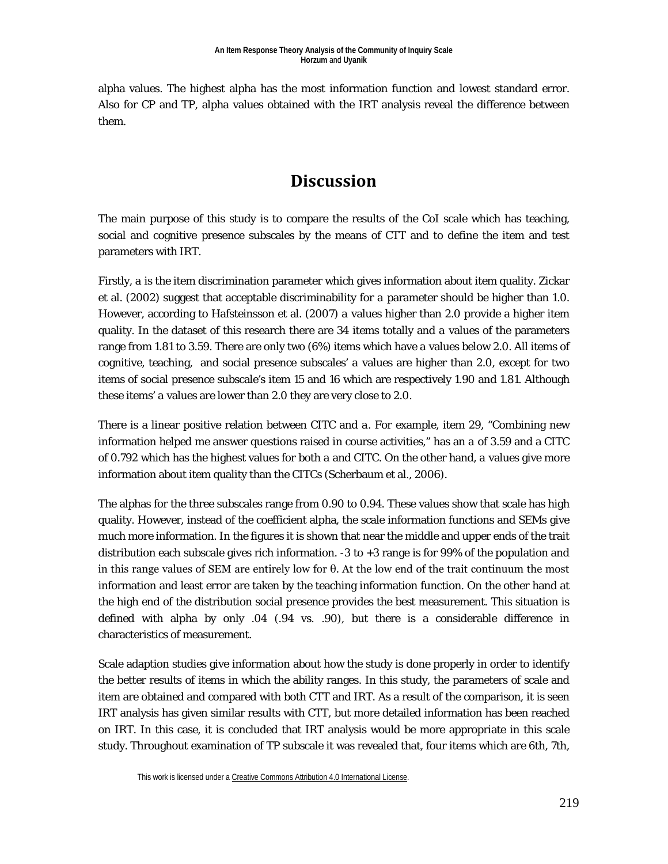alpha values. The highest alpha has the most information function and lowest standard error. Also for CP and TP, alpha values obtained with the IRT analysis reveal the difference between them.

## **Discussion**

The main purpose of this study is to compare the results of the CoI scale which has teaching, social and cognitive presence subscales by the means of CTT and to define the item and test parameters with IRT.

Firstly, *a* is the item discrimination parameter which gives information about item quality. Zickar et al. (2002) suggest that acceptable discriminability for *a* parameter should be higher than 1.0. However, according to Hafsteinsson et al. (2007) *a* values higher than 2.0 provide a higher item quality. In the dataset of this research there are 34 items totally and *a* values of the parameters range from 1.81 to 3.59. There are only two (6%) items which have *a* values below 2.0. All items of cognitive, teaching, and social presence subscales' *a* values are higher than 2.0, except for two items of social presence subscale's item 15 and 16 which are respectively 1.90 and 1.81. Although these items' *a* values are lower than 2.0 they are very close to 2.0.

There is a linear positive relation between CITC and *a*. For example, item 29, "Combining new information helped me answer questions raised in course activities," has an *a* of 3.59 and a CITC of 0.792 which has the highest values for both *a* and CITC. On the other hand, *a* values give more information about item quality than the CITCs (Scherbaum et al., 2006).

The alphas for the three subscales range from 0.90 to 0.94. These values show that scale has high quality. However, instead of the coefficient alpha, the scale information functions and SEMs give much more information. In the figures it is shown that near the middle and upper ends of the trait distribution each subscale gives rich information. -3 to +3 range is for 99% of the population and in this range values of SEM are entirely low for  $\theta$ . At the low end of the trait continuum the most information and least error are taken by the teaching information function. On the other hand at the high end of the distribution social presence provides the best measurement. This situation is defined with alpha by only .04 (.94 vs. .90), but there is a considerable difference in characteristics of measurement.

Scale adaption studies give information about how the study is done properly in order to identify the better results of items in which the ability ranges. In this study, the parameters of scale and item are obtained and compared with both CTT and IRT. As a result of the comparison, it is seen IRT analysis has given similar results with CTT, but more detailed information has been reached on IRT. In this case, it is concluded that IRT analysis would be more appropriate in this scale study. Throughout examination of TP subscale it was revealed that, four items which are 6th, 7th,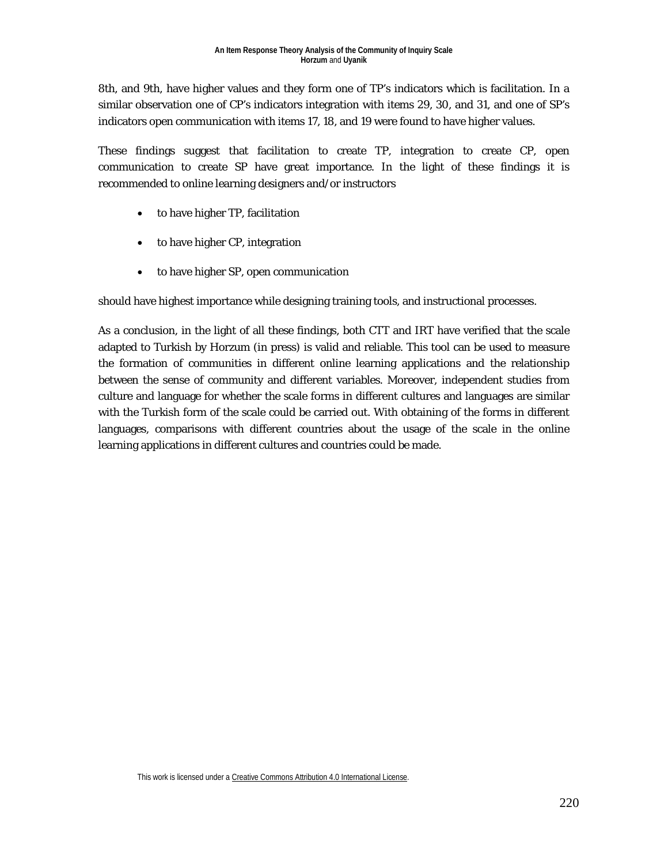8th, and 9th, have higher values and they form one of TP's indicators which is facilitation. In a similar observation one of CP's indicators integration with items 29, 30, and 31, and one of SP's indicators open communication with items 17, 18, and 19 were found to have higher values.

These findings suggest that facilitation to create TP, integration to create CP, open communication to create SP have great importance. In the light of these findings it is recommended to online learning designers and/or instructors

- to have higher TP, facilitation
- to have higher CP, integration
- to have higher SP, open communication

should have highest importance while designing training tools, and instructional processes.

As a conclusion, in the light of all these findings, both CTT and IRT have verified that the scale adapted to Turkish by Horzum (in press) is valid and reliable. This tool can be used to measure the formation of communities in different online learning applications and the relationship between the sense of community and different variables. Moreover, independent studies from culture and language for whether the scale forms in different cultures and languages are similar with the Turkish form of the scale could be carried out. With obtaining of the forms in different languages, comparisons with different countries about the usage of the scale in the online learning applications in different cultures and countries could be made.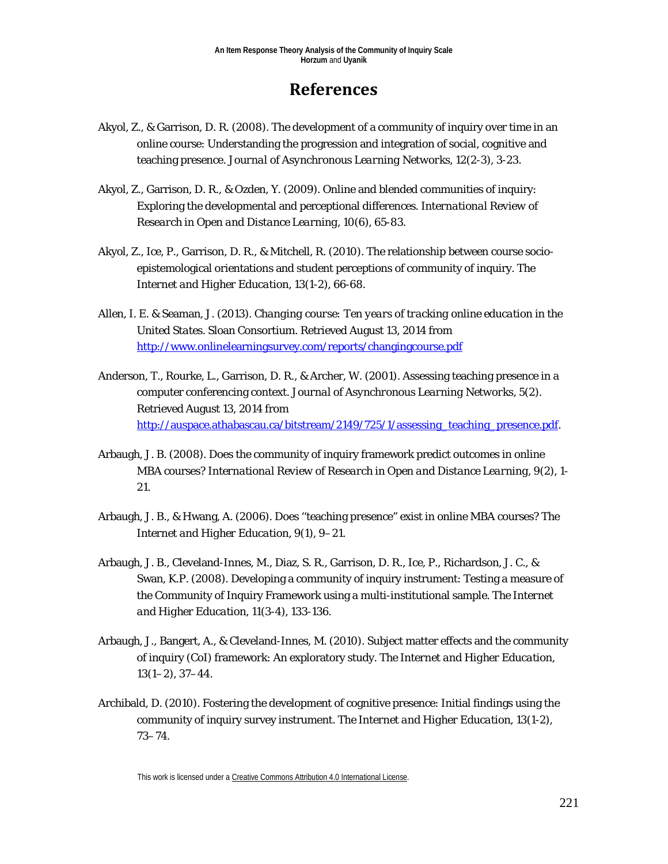## **References**

- Akyol, Z., & Garrison, D. R. (2008). The development of a community of inquiry over time in an online course: Understanding the progression and integration of social, cognitive and teaching presence. *Journal of Asynchronous Learning Networks*, *12*(2-3), 3-23.
- Akyol, Z., Garrison, D. R., & Ozden, Y. (2009). Online and blended communities of inquiry: Exploring the developmental and perceptional differences. *International Review of Research in Open and Distance Learning, 10*(6), 65-83.
- Akyol, Z., Ice, P., Garrison, D. R., & Mitchell, R. (2010). The relationship between course socioepistemological orientations and student perceptions of community of inquiry. *The Internet and Higher Education, 13*(1-2), 66-68.
- Allen, I. E. & Seaman, J. (2013). *Changing course: Ten years of tracking online education in the United States*. Sloan Consortium. Retrieved August 13, 2014 from <http://www.onlinelearningsurvey.com/reports/changingcourse.pdf>
- Anderson, T., Rourke, L., Garrison, D. R., & Archer, W. (2001). Assessing teaching presence in a computer conferencing context. *Journal of Asynchronous Learning Networks*, 5(2). Retrieved August 13, 2014 from [http://auspace.athabascau.ca/bitstream/2149/725/1/assessing\\_teaching\\_presence.pdf.](http://auspace.athabascau.ca/bitstream/2149/725/1/assessing_teaching_presence.pdf)
- Arbaugh, J. B. (2008). Does the community of inquiry framework predict outcomes in online MBA courses? *International Review of Research in Open and Distance Learning, 9*(2), 1- 21.
- Arbaugh, J. B., & Hwang, A. (2006). Does ''teaching presence" exist in online MBA courses? *The Internet and Higher Education, 9*(1), 9–21.
- Arbaugh, J. B., Cleveland-Innes, M., Diaz, S. R., Garrison, D. R., Ice, P., Richardson, J. C., & Swan, K.P. (2008). Developing a community of inquiry instrument: Testing a measure of the Community of Inquiry Framework using a multi-institutional sample. *The Internet and Higher Education, 11*(3-4), 133-136.
- Arbaugh, J., Bangert, A., & Cleveland-Innes, M. (2010). Subject matter effects and the community of inquiry (CoI) framework: An exploratory study. *The Internet and Higher Education, 13*(1–2), 37–44.
- Archibald, D. (2010). Fostering the development of cognitive presence: Initial findings using the community of inquiry survey instrument. *The Internet and Higher Education, 13*(1-2), 73–74.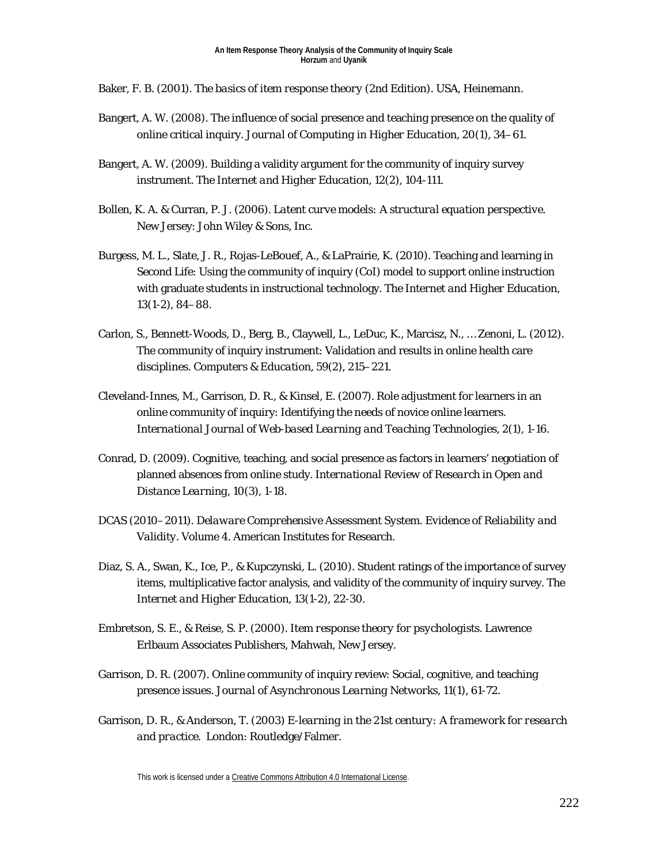Baker, F. B. (2001). *The basics of item response theory* (2nd Edition). USA, Heinemann.

- Bangert, A. W. (2008). The influence of social presence and teaching presence on the quality of online critical inquiry*. Journal of Computing in Higher Education, 20*(1), 34–61.
- Bangert, A. W. (2009). Building a validity argument for the community of inquiry survey instrument. *The Internet and Higher Education, 12*(2), 104-111.
- Bollen, K. A. & Curran, P. J. (2006). *Latent curve models: A structural equation perspective.*  New Jersey: John Wiley & Sons, Inc.
- Burgess, M. L., Slate, J. R., Rojas-LeBouef, A., & LaPrairie, K. (2010). Teaching and learning in Second Life: Using the community of inquiry (CoI) model to support online instruction with graduate students in instructional technology. *The Internet and Higher Education, 13*(1-2), 84–88.
- Carlon, S., Bennett-Woods, D., Berg, B., Claywell, L., LeDuc, K., Marcisz, N., … Zenoni, L. (2012). The community of inquiry instrument: Validation and results in online health care disciplines. *Computers & Education, 59*(2), 215–221.
- Cleveland-Innes, M., Garrison, D. R., & Kinsel, E. (2007). Role adjustment for learners in an online community of inquiry: Identifying the needs of novice online learners. *International Journal of Web-based Learning and Teaching Technologies, 2*(1), 1-16.
- Conrad, D. (2009). Cognitive, teaching, and social presence as factors in learners' negotiation of planned absences from online study. *International Review of Research in Open and Distance Learning, 10*(3), 1-18.
- DCAS (2010–2011). *Delaware Comprehensive Assessment System. Evidence of Reliability and Validity.* Volume 4. American Institutes for Research.
- Diaz, S. A., Swan, K., Ice, P., & Kupczynski, L. (2010). Student ratings of the importance of survey items, multiplicative factor analysis, and validity of the community of inquiry survey. *The Internet and Higher Education, 13*(1-2), 22-30.
- Embretson, S. E., & Reise, S. P. (2000). *Item response theory for psychologists*. Lawrence Erlbaum Associates Publishers, Mahwah, New Jersey.
- Garrison, D. R. (2007). Online community of inquiry review: Social, cognitive, and teaching presence issues. *Journal of Asynchronous Learning Networks, 11*(1), 61-72.
- Garrison, D. R., & Anderson, T. (2003) *E-learning in the 21st century: A framework for research and practice*. London: Routledge/Falmer.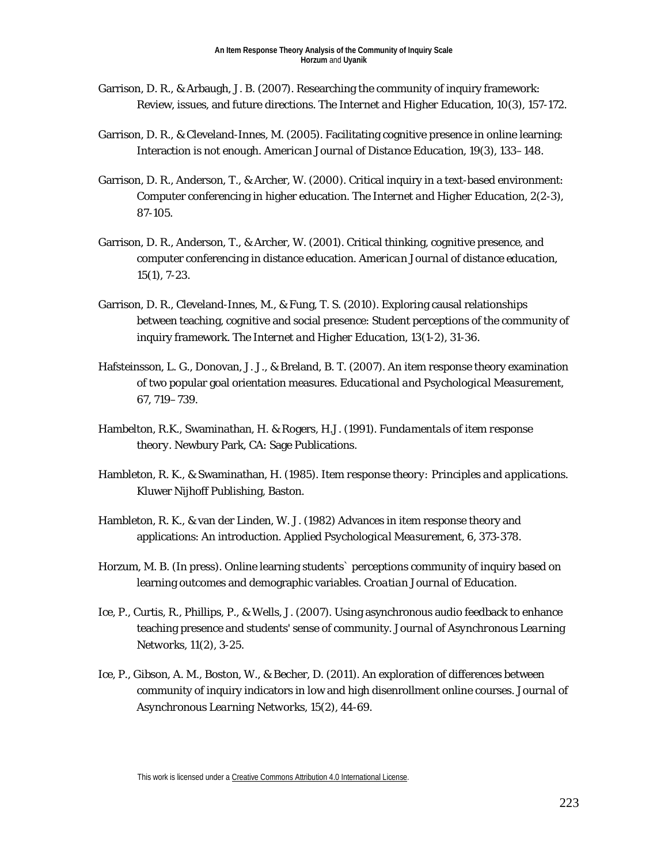- Garrison, D. R., & Arbaugh, J. B. (2007). Researching the community of inquiry framework: Review, issues, and future directions. *The Internet and Higher Education, 10*(3), 157-172.
- Garrison, D. R., & Cleveland-Innes, M. (2005). Facilitating cognitive presence in online learning: Interaction is not enough. *American Journal of Distance Education, 19*(3), 133–148.
- Garrison, D. R., Anderson, T., & Archer, W. (2000). Critical inquiry in a text-based environment: Computer conferencing in higher education. *The Internet and Higher Education, 2*(2-3), 87-105.
- Garrison, D. R., Anderson, T., & Archer, W. (2001). Critical thinking, cognitive presence, and computer conferencing in distance education. *American Journal of distance education, 15*(1), 7-23.
- Garrison, D. R., Cleveland-Innes, M., & Fung, T. S. (2010). Exploring causal relationships between teaching, cognitive and social presence: Student perceptions of the community of inquiry framework. *The Internet and Higher Education, 13*(1-2), 31-36.
- Hafsteinsson, L. G., Donovan, J. J., & Breland, B. T. (2007). An item response theory examination of two popular goal orientation measures. *Educational and Psychological Measurement*, *67*, 719–739.
- Hambelton, R.K., Swaminathan, H. & Rogers, H.J. (1991). *Fundamentals of item response theory.* Newbury Park, CA: Sage Publications.
- Hambleton, R. K., & Swaminathan, H. (1985). *Item response theory: Principles and applications.* Kluwer Nijhoff Publishing, Baston.
- Hambleton, R. K., & van der Linden, W. J. (1982) Advances in item response theory and applications: An introduction. *Applied Psychological Measurement, 6, 373-378.*
- Horzum, M. B. (In press). Online learning students` perceptions community of inquiry based on learning outcomes and demographic variables. *Croatian Journal of Education*.
- Ice, P., Curtis, R., Phillips, P., & Wells, J. (2007). Using asynchronous audio feedback to enhance teaching presence and students' sense of community. *Journal of Asynchronous Learning Networks, 11*(2), 3-25.
- Ice, P., Gibson, A. M., Boston, W., & Becher, D. (2011). An exploration of differences between community of inquiry indicators in low and high disenrollment online courses. *Journal of Asynchronous Learning Networks, 15*(2), 44-69.

This work is licensed under [a Creative Commons Attribution 4.0 International License.](http://creativecommons.org/licenses/by/4.0/)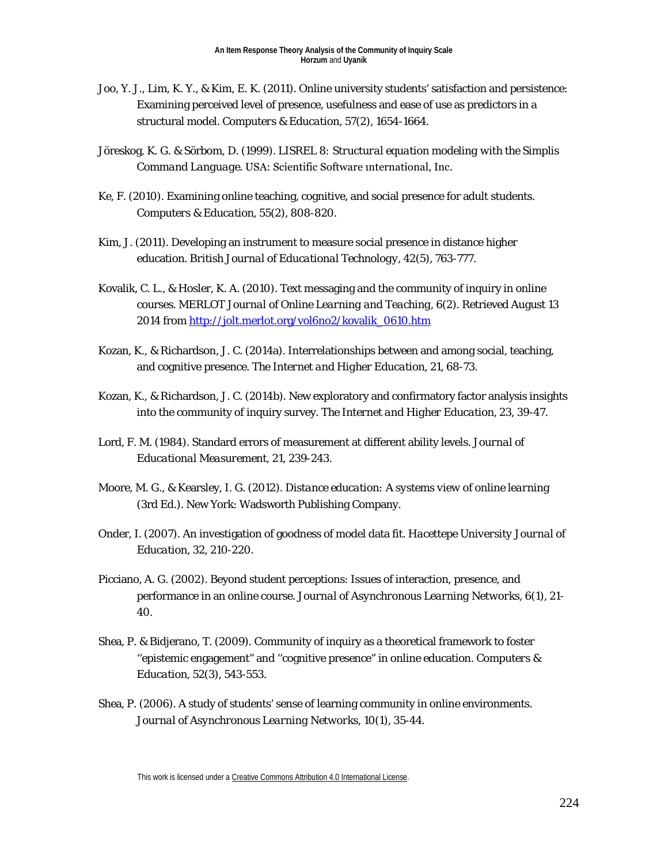- Joo, Y. J., Lim, K. Y., & Kim, E. K. (2011). Online university students' satisfaction and persistence: Examining perceived level of presence, usefulness and ease of use as predictors in a structural model. *Computers & Education, 57*(2), 1654-1664.
- Jöreskog, K. G. & Sörbom, D. (1999). *LISREL 8: Structural equation modeling with the Simplis Command Language*. USA: Scientific Software ınternational, Inc.
- Ke, F. (2010). Examining online teaching, cognitive, and social presence for adult students. *Computers & Education, 55*(2), 808-820.
- Kim, J. (2011). Developing an instrument to measure social presence in distance higher education. *British Journal of Educational Technology, 42*(5), 763-777.
- Kovalik, C. L., & Hosler, K. A. (2010). Text messaging and the community of inquiry in online courses. *MERLOT Journal of Online Learning and Teaching, 6*(2). Retrieved August 13 2014 from [http://jolt.merlot.org/vol6no2/kovalik\\_0610.htm](http://jolt.merlot.org/vol6no2/kovalik_0610.htm)
- Kozan, K., & Richardson, J. C. (2014a). Interrelationships between and among social, teaching, and cognitive presence. *The Internet and Higher Education, 21*, 68-73.
- Kozan, K., & Richardson, J. C. (2014b). New exploratory and confirmatory factor analysis insights into the community of inquiry survey. *The Internet and Higher Education, 23*, 39-47.
- Lord, F. M. (1984). Standard errors of measurement at different ability levels. *Journal of Educational Measurement*, 21, 239-243.
- Moore, M. G., & Kearsley, I. G. (2012). *Distance education: A systems view of online learning* (3rd Ed.). New York: Wadsworth Publishing Company.
- Onder, I. (2007). An investigation of goodness of model data fit. *Hacettepe University Journal of Education*, *32*, 210-220.
- Picciano, A. G. (2002). Beyond student perceptions: Issues of interaction, presence, and performance in an online course. *Journal of Asynchronous Learning Networks, 6*(1), 21- 40.
- Shea, P. & Bidjerano, T. (2009). Community of inquiry as a theoretical framework to foster ''epistemic engagement" and ''cognitive presence" in online education. *Computers & Education, 52*(3), 543-553.
- Shea, P. (2006). A study of students' sense of learning community in online environments. *Journal of Asynchronous Learning Networks, 10*(1), 35-44.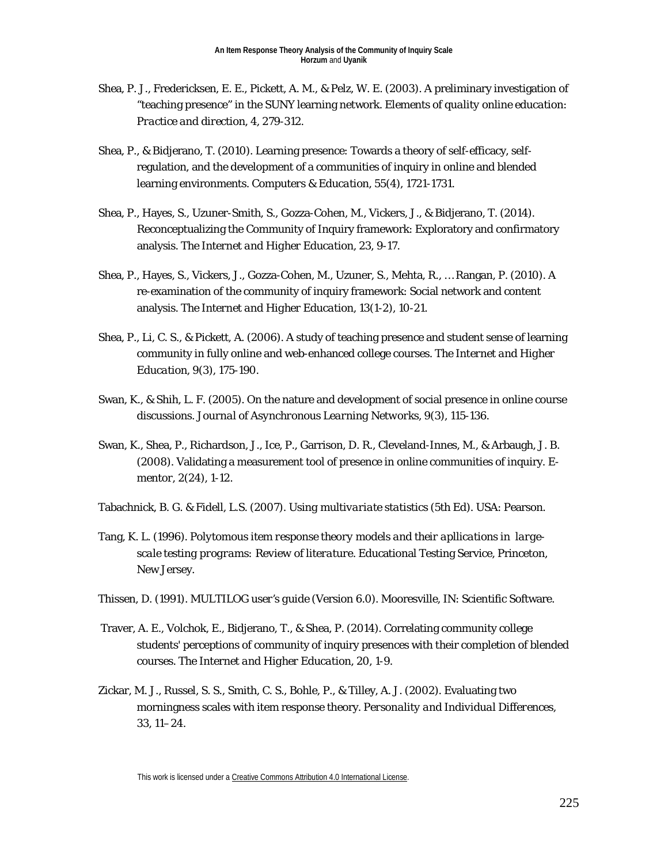- Shea, P. J., Fredericksen, E. E., Pickett, A. M., & Pelz, W. E. (2003). A preliminary investigation of "teaching presence" in the SUNY learning network. *Elements of quality online education: Practice and direction, 4*, 279-312.
- Shea, P., & Bidjerano, T. (2010). Learning presence: Towards a theory of self-efficacy, selfregulation, and the development of a communities of inquiry in online and blended learning environments. *Computers & Education, 55*(4), 1721-1731.
- Shea, P., Hayes, S., Uzuner-Smith, S., Gozza-Cohen, M., Vickers, J., & Bidjerano, T. (2014). Reconceptualizing the Community of Inquiry framework: Exploratory and confirmatory analysis. *The Internet and Higher Education, 23*, 9-17.
- Shea, P., Hayes, S., Vickers, J., Gozza-Cohen, M., Uzuner, S., Mehta, R., … Rangan, P. (2010). A re-examination of the community of inquiry framework: Social network and content analysis. *The Internet and Higher Education, 13*(1-2), 10-21.
- Shea, P., Li, C. S., & Pickett, A. (2006). A study of teaching presence and student sense of learning community in fully online and web-enhanced college courses. *The Internet and Higher Education, 9*(3), 175-190.
- Swan, K., & Shih, L. F. (2005). On the nature and development of social presence in online course discussions. *Journal of Asynchronous Learning Networks, 9*(3), 115-136.
- Swan, K., Shea, P., Richardson, J., Ice, P., Garrison, D. R., Cleveland-Innes, M., & Arbaugh, J. B. (2008). Validating a measurement tool of presence in online communities of inquiry. *Ementor, 2*(24), 1-12.
- Tabachnick, B. G. & Fidell, L.S. (2007). *Using multivariate statistics* (5th Ed). USA: Pearson.
- Tang, K. L. (1996). *Polytomous item response theory models and their apllications in largescale testing programs: Review of literature*. Educational Testing Service, Princeton, New Jersey.
- Thissen, D. (1991). *MULTILOG user's guide* (Version 6.0). Mooresville, IN: Scientific Software.
- Traver, A. E., Volchok, E., Bidjerano, T., & Shea, P. (2014). Correlating community college students' perceptions of community of inquiry presences with their completion of blended courses. *The Internet and Higher Education, 20*, 1-9.
- Zickar, M. J., Russel, S. S., Smith, C. S., Bohle, P., & Tilley, A. J. (2002). Evaluating two morningness scales with item response theory. *Personality and Individual Differences*, *33*, 11–24.